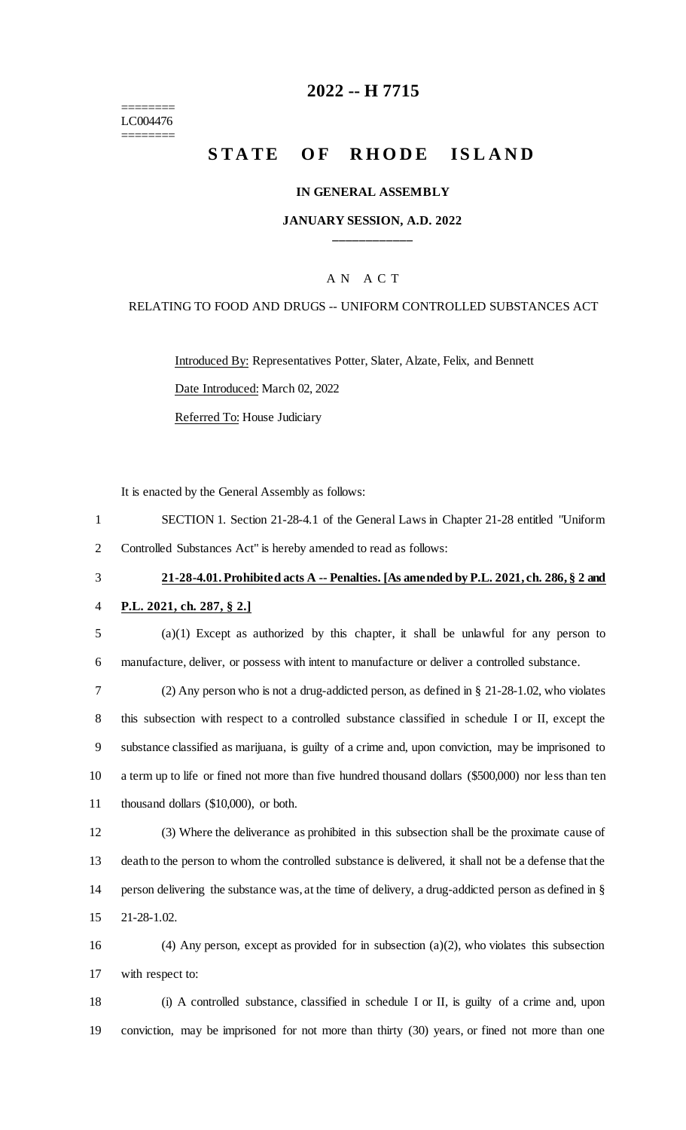======== LC004476 ========

## **-- H 7715**

# **STATE OF RHODE ISLAND**

#### **IN GENERAL ASSEMBLY**

#### **JANUARY SESSION, A.D. 2022 \_\_\_\_\_\_\_\_\_\_\_\_**

### A N A C T

#### RELATING TO FOOD AND DRUGS -- UNIFORM CONTROLLED SUBSTANCES ACT

Introduced By: Representatives Potter, Slater, Alzate, Felix, and Bennett Date Introduced: March 02, 2022 Referred To: House Judiciary

It is enacted by the General Assembly as follows:

- SECTION 1. Section 21-28-4.1 of the General Laws in Chapter 21-28 entitled "Uniform Controlled Substances Act" is hereby amended to read as follows:
- 

## **21-28-4.01. Prohibited acts A -- Penalties. [As amended by P.L. 2021, ch. 286, § 2 and**

- **P.L. 2021, ch. 287, § 2.]**
- (a)(1) Except as authorized by this chapter, it shall be unlawful for any person to manufacture, deliver, or possess with intent to manufacture or deliver a controlled substance.

 (2) Any person who is not a drug-addicted person, as defined in § 21-28-1.02, who violates this subsection with respect to a controlled substance classified in schedule I or II, except the substance classified as marijuana, is guilty of a crime and, upon conviction, may be imprisoned to a term up to life or fined not more than five hundred thousand dollars (\$500,000) nor less than ten thousand dollars (\$10,000), or both.

 (3) Where the deliverance as prohibited in this subsection shall be the proximate cause of death to the person to whom the controlled substance is delivered, it shall not be a defense that the person delivering the substance was, at the time of delivery, a drug-addicted person as defined in § 21-28-1.02.

 (4) Any person, except as provided for in subsection (a)(2), who violates this subsection with respect to:

 (i) A controlled substance, classified in schedule I or II, is guilty of a crime and, upon conviction, may be imprisoned for not more than thirty (30) years, or fined not more than one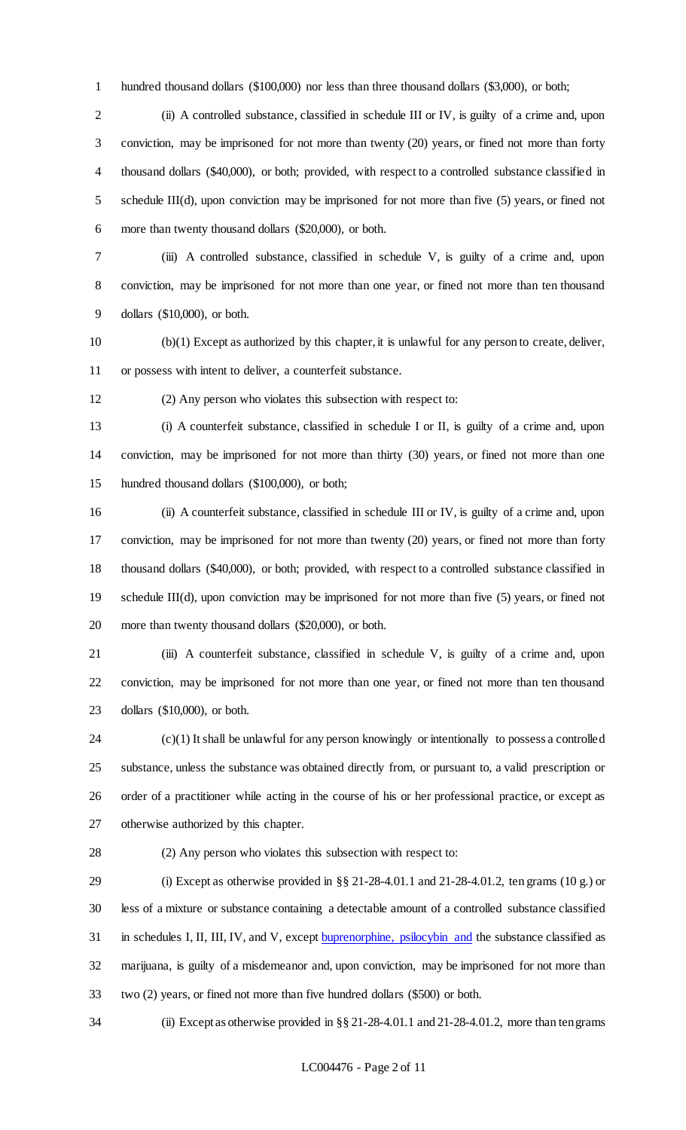hundred thousand dollars (\$100,000) nor less than three thousand dollars (\$3,000), or both;

 (ii) A controlled substance, classified in schedule III or IV, is guilty of a crime and, upon conviction, may be imprisoned for not more than twenty (20) years, or fined not more than forty thousand dollars (\$40,000), or both; provided, with respect to a controlled substance classified in schedule III(d), upon conviction may be imprisoned for not more than five (5) years, or fined not more than twenty thousand dollars (\$20,000), or both.

 (iii) A controlled substance, classified in schedule V, is guilty of a crime and, upon conviction, may be imprisoned for not more than one year, or fined not more than ten thousand dollars (\$10,000), or both.

 (b)(1) Except as authorized by this chapter, it is unlawful for any person to create, deliver, or possess with intent to deliver, a counterfeit substance.

(2) Any person who violates this subsection with respect to:

 (i) A counterfeit substance, classified in schedule I or II, is guilty of a crime and, upon conviction, may be imprisoned for not more than thirty (30) years, or fined not more than one hundred thousand dollars (\$100,000), or both;

 (ii) A counterfeit substance, classified in schedule III or IV, is guilty of a crime and, upon conviction, may be imprisoned for not more than twenty (20) years, or fined not more than forty thousand dollars (\$40,000), or both; provided, with respect to a controlled substance classified in schedule III(d), upon conviction may be imprisoned for not more than five (5) years, or fined not more than twenty thousand dollars (\$20,000), or both.

 (iii) A counterfeit substance, classified in schedule V, is guilty of a crime and, upon conviction, may be imprisoned for not more than one year, or fined not more than ten thousand dollars (\$10,000), or both.

 (c)(1) It shall be unlawful for any person knowingly or intentionally to possess a controlled substance, unless the substance was obtained directly from, or pursuant to, a valid prescription or order of a practitioner while acting in the course of his or her professional practice, or except as otherwise authorized by this chapter.

#### (2) Any person who violates this subsection with respect to:

 (i) Except as otherwise provided in §§ 21-28-4.01.1 and 21-28-4.01.2, ten grams (10 g.) or less of a mixture or substance containing a detectable amount of a controlled substance classified in schedules I, II, III, IV, and V, except buprenorphine, psilocybin and the substance classified as marijuana, is guilty of a misdemeanor and, upon conviction, may be imprisoned for not more than two (2) years, or fined not more than five hundred dollars (\$500) or both.

(ii) Except as otherwise provided in §§ 21-28-4.01.1 and 21-28-4.01.2, more than ten grams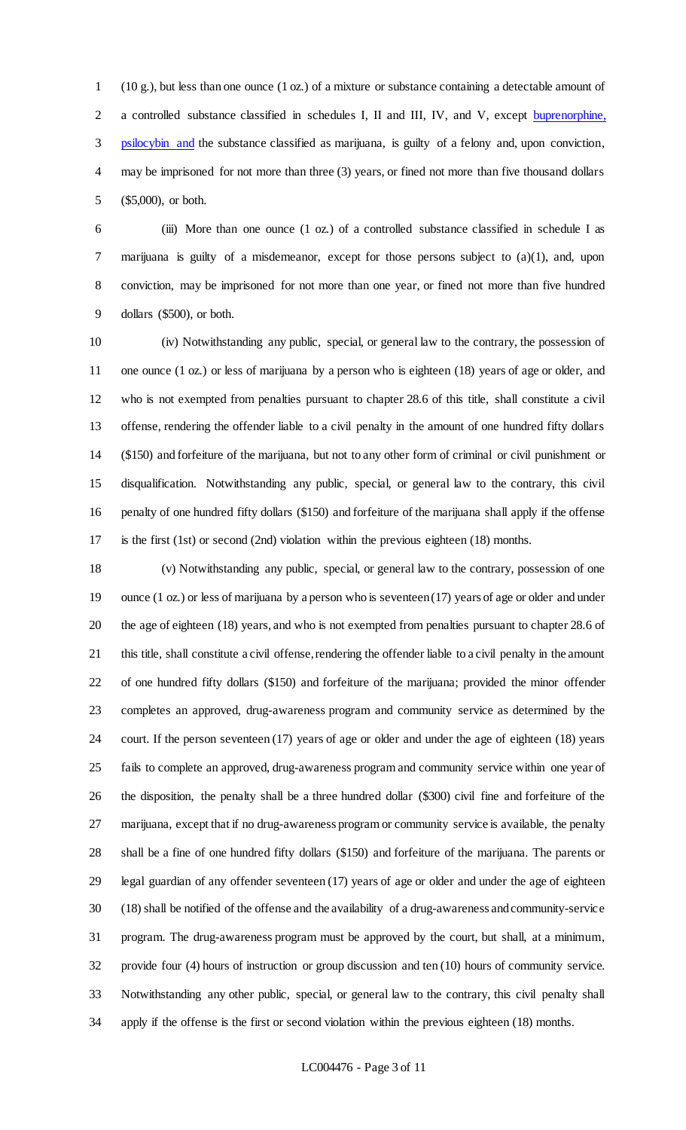(10 g.), but less than one ounce (1 oz.) of a mixture or substance containing a detectable amount of a controlled substance classified in schedules I, II and III, IV, and V, except buprenorphine, psilocybin and the substance classified as marijuana, is guilty of a felony and, upon conviction, may be imprisoned for not more than three (3) years, or fined not more than five thousand dollars (\$5,000), or both.

 (iii) More than one ounce (1 oz.) of a controlled substance classified in schedule I as marijuana is guilty of a misdemeanor, except for those persons subject to (a)(1), and, upon conviction, may be imprisoned for not more than one year, or fined not more than five hundred dollars (\$500), or both.

 (iv) Notwithstanding any public, special, or general law to the contrary, the possession of one ounce (1 oz.) or less of marijuana by a person who is eighteen (18) years of age or older, and who is not exempted from penalties pursuant to chapter 28.6 of this title, shall constitute a civil offense, rendering the offender liable to a civil penalty in the amount of one hundred fifty dollars (\$150) and forfeiture of the marijuana, but not to any other form of criminal or civil punishment or disqualification. Notwithstanding any public, special, or general law to the contrary, this civil penalty of one hundred fifty dollars (\$150) and forfeiture of the marijuana shall apply if the offense is the first (1st) or second (2nd) violation within the previous eighteen (18) months.

 (v) Notwithstanding any public, special, or general law to the contrary, possession of one ounce (1 oz.) or less of marijuana by a person who is seventeen (17) years of age or older and under the age of eighteen (18) years, and who is not exempted from penalties pursuant to chapter 28.6 of this title, shall constitute a civil offense, rendering the offender liable to a civil penalty in the amount of one hundred fifty dollars (\$150) and forfeiture of the marijuana; provided the minor offender completes an approved, drug-awareness program and community service as determined by the court. If the person seventeen (17) years of age or older and under the age of eighteen (18) years fails to complete an approved, drug-awareness program and community service within one year of the disposition, the penalty shall be a three hundred dollar (\$300) civil fine and forfeiture of the marijuana, except that if no drug-awareness program or community service is available, the penalty shall be a fine of one hundred fifty dollars (\$150) and forfeiture of the marijuana. The parents or legal guardian of any offender seventeen (17) years of age or older and under the age of eighteen (18) shall be notified of the offense and the availability of a drug-awareness and community-service program. The drug-awareness program must be approved by the court, but shall, at a minimum, provide four (4) hours of instruction or group discussion and ten (10) hours of community service. Notwithstanding any other public, special, or general law to the contrary, this civil penalty shall apply if the offense is the first or second violation within the previous eighteen (18) months.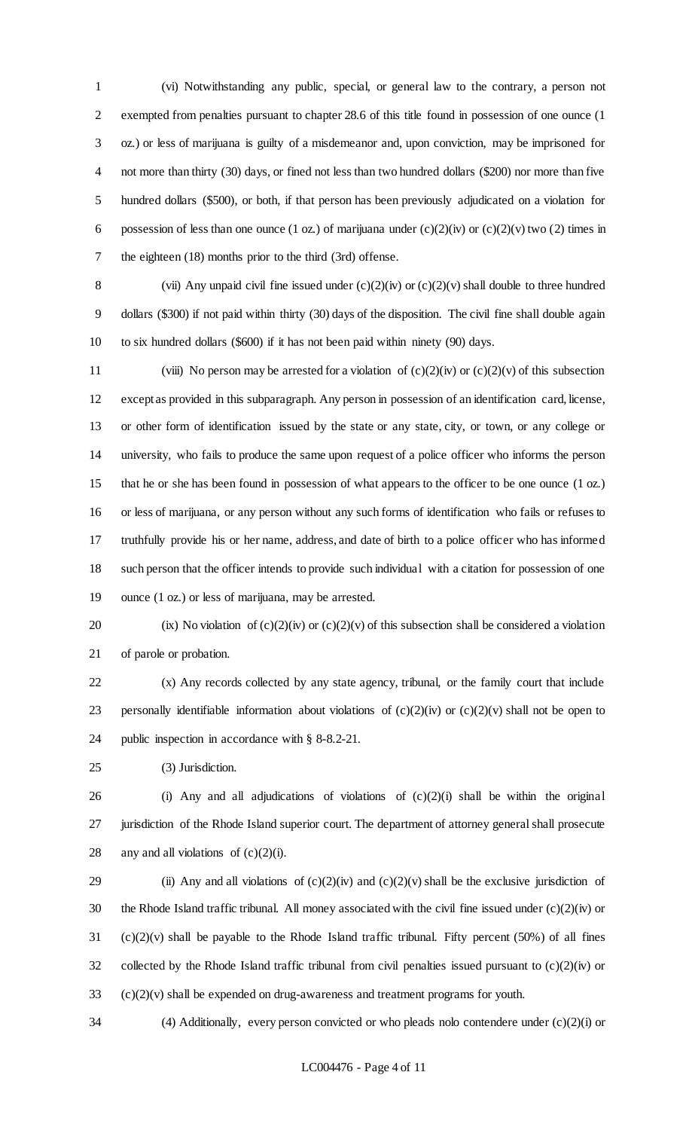(vi) Notwithstanding any public, special, or general law to the contrary, a person not exempted from penalties pursuant to chapter 28.6 of this title found in possession of one ounce (1 oz.) or less of marijuana is guilty of a misdemeanor and, upon conviction, may be imprisoned for not more than thirty (30) days, or fined not less than two hundred dollars (\$200) nor more than five hundred dollars (\$500), or both, if that person has been previously adjudicated on a violation for 6 possession of less than one ounce (1 oz.) of marijuana under  $(c)(2)(iv)$  or  $(c)(2)(v)$  two (2) times in the eighteen (18) months prior to the third (3rd) offense.

8 (vii) Any unpaid civil fine issued under  $(c)(2)(iv)$  or  $(c)(2)(v)$  shall double to three hundred dollars (\$300) if not paid within thirty (30) days of the disposition. The civil fine shall double again to six hundred dollars (\$600) if it has not been paid within ninety (90) days.

11 (viii) No person may be arrested for a violation of  $(c)(2)(iv)$  or  $(c)(2)(v)$  of this subsection except as provided in this subparagraph. Any person in possession of an identification card, license, or other form of identification issued by the state or any state, city, or town, or any college or university, who fails to produce the same upon request of a police officer who informs the person that he or she has been found in possession of what appears to the officer to be one ounce (1 oz.) or less of marijuana, or any person without any such forms of identification who fails or refuses to truthfully provide his or her name, address, and date of birth to a police officer who has informed such person that the officer intends to provide such individual with a citation for possession of one ounce (1 oz.) or less of marijuana, may be arrested.

20 (ix) No violation of  $(c)(2)(iv)$  or  $(c)(2)(v)$  of this subsection shall be considered a violation of parole or probation.

 (x) Any records collected by any state agency, tribunal, or the family court that include 23 personally identifiable information about violations of  $(c)(2)(iv)$  or  $(c)(2)(v)$  shall not be open to public inspection in accordance with § 8-8.2-21.

(3) Jurisdiction.

 (i) Any and all adjudications of violations of (c)(2)(i) shall be within the original jurisdiction of the Rhode Island superior court. The department of attorney general shall prosecute 28 any and all violations of  $(c)(2)(i)$ .

29 (ii) Any and all violations of  $(c)(2)(iv)$  and  $(c)(2)(v)$  shall be the exclusive jurisdiction of the Rhode Island traffic tribunal. All money associated with the civil fine issued under (c)(2)(iv) or (c)(2)(v) shall be payable to the Rhode Island traffic tribunal. Fifty percent (50%) of all fines 32 collected by the Rhode Island traffic tribunal from civil penalties issued pursuant to  $(c)(2)(iv)$  or (c)(2)(v) shall be expended on drug-awareness and treatment programs for youth.

(4) Additionally, every person convicted or who pleads nolo contendere under (c)(2)(i) or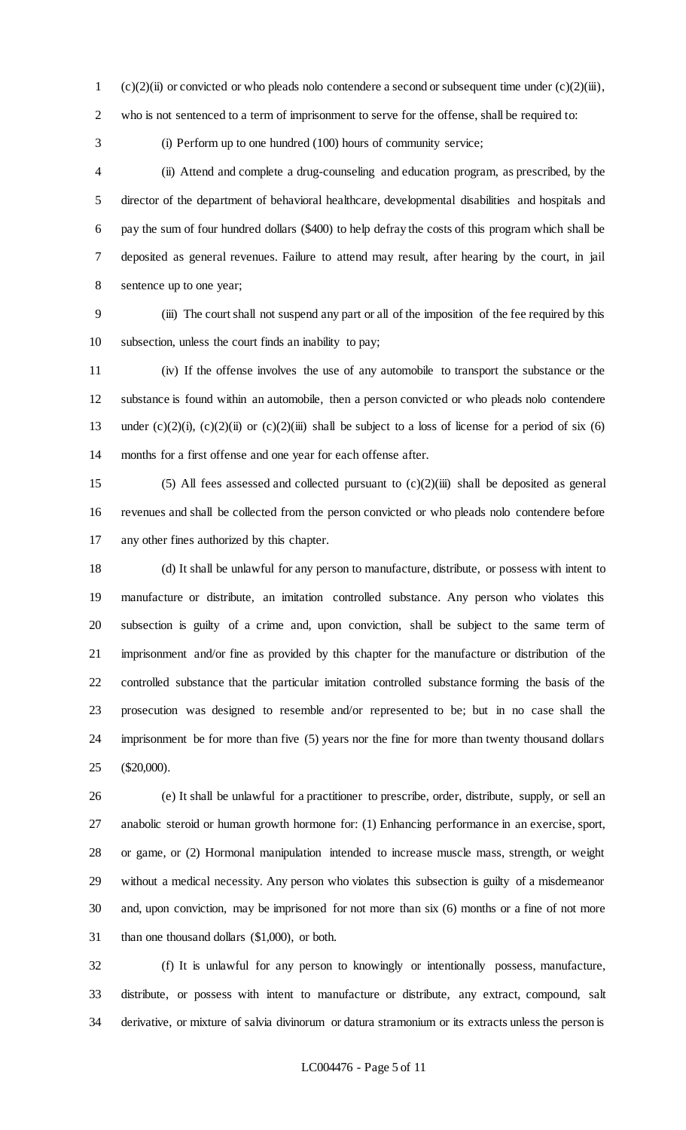1 (c)(2)(ii) or convicted or who pleads nolo contendere a second or subsequent time under (c)(2)(iii),

who is not sentenced to a term of imprisonment to serve for the offense, shall be required to:

(i) Perform up to one hundred (100) hours of community service;

 (ii) Attend and complete a drug-counseling and education program, as prescribed, by the director of the department of behavioral healthcare, developmental disabilities and hospitals and pay the sum of four hundred dollars (\$400) to help defray the costs of this program which shall be deposited as general revenues. Failure to attend may result, after hearing by the court, in jail sentence up to one year;

 (iii) The court shall not suspend any part or all of the imposition of the fee required by this subsection, unless the court finds an inability to pay;

 (iv) If the offense involves the use of any automobile to transport the substance or the substance is found within an automobile, then a person convicted or who pleads nolo contendere 13 under  $(c)(2)(i)$ ,  $(c)(2)(ii)$  or  $(c)(2)(iii)$  shall be subject to a loss of license for a period of six (6) months for a first offense and one year for each offense after.

15 (5) All fees assessed and collected pursuant to  $(c)(2)(iii)$  shall be deposited as general revenues and shall be collected from the person convicted or who pleads nolo contendere before any other fines authorized by this chapter.

 (d) It shall be unlawful for any person to manufacture, distribute, or possess with intent to manufacture or distribute, an imitation controlled substance. Any person who violates this subsection is guilty of a crime and, upon conviction, shall be subject to the same term of imprisonment and/or fine as provided by this chapter for the manufacture or distribution of the controlled substance that the particular imitation controlled substance forming the basis of the prosecution was designed to resemble and/or represented to be; but in no case shall the imprisonment be for more than five (5) years nor the fine for more than twenty thousand dollars (\$20,000).

 (e) It shall be unlawful for a practitioner to prescribe, order, distribute, supply, or sell an anabolic steroid or human growth hormone for: (1) Enhancing performance in an exercise, sport, or game, or (2) Hormonal manipulation intended to increase muscle mass, strength, or weight without a medical necessity. Any person who violates this subsection is guilty of a misdemeanor and, upon conviction, may be imprisoned for not more than six (6) months or a fine of not more than one thousand dollars (\$1,000), or both.

 (f) It is unlawful for any person to knowingly or intentionally possess, manufacture, distribute, or possess with intent to manufacture or distribute, any extract, compound, salt derivative, or mixture of salvia divinorum or datura stramonium or its extracts unless the person is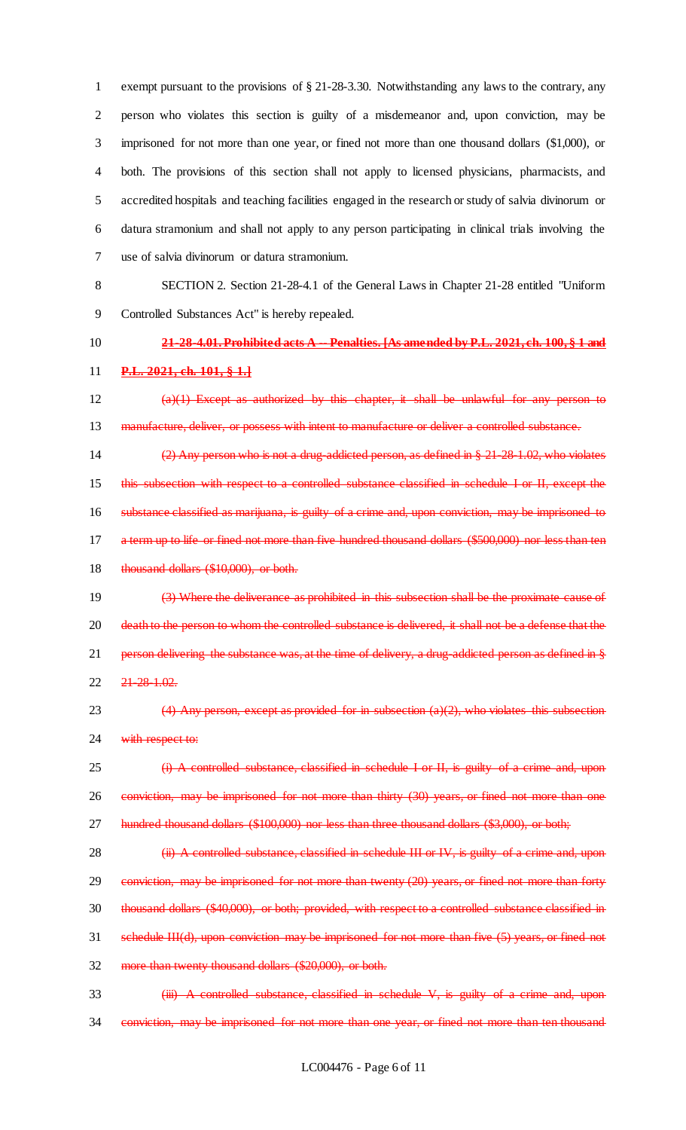exempt pursuant to the provisions of § 21-28-3.30. Notwithstanding any laws to the contrary, any person who violates this section is guilty of a misdemeanor and, upon conviction, may be imprisoned for not more than one year, or fined not more than one thousand dollars (\$1,000), or both. The provisions of this section shall not apply to licensed physicians, pharmacists, and accredited hospitals and teaching facilities engaged in the research or study of salvia divinorum or datura stramonium and shall not apply to any person participating in clinical trials involving the use of salvia divinorum or datura stramonium.

8 SECTION 2. Section 21-28-4.1 of the General Laws in Chapter 21-28 entitled "Uniform

9 Controlled Substances Act" is hereby repealed.

# 10 **21-28-4.01. Prohibited acts A -- Penalties. [As amended by P.L. 2021, ch. 100, § 1 and**

#### 11 **P.L. 2021, ch. 101, § 1.]**

12  $(a)(1)$  Except as authorized by this chapter, it shall be unlawful for any person to 13 manufacture, deliver, or possess with intent to manufacture or deliver a controlled substance.

 (2) Any person who is not a drug-addicted person, as defined in § 21-28-1.02, who violates this subsection with respect to a controlled substance classified in schedule I or II, except the substance classified as marijuana, is guilty of a crime and, upon conviction, may be imprisoned to a term up to life or fined not more than five hundred thousand dollars (\$500,000) nor less than ten 18 thousand dollars (\$10,000), or both.

19 (3) Where the deliverance as prohibited in this subsection shall be the proximate cause of 20 death to the person to whom the controlled substance is delivered, it shall not be a defense that the 21 person delivering the substance was, at the time of delivery, a drug-addicted person as defined in § 22 21-28-1.02.

23  $(4)$  Any person, except as provided for in subsection  $(a)(2)$ , who violates this subsection 24 with respect to:

25 (i) A controlled substance, classified in schedule I or II, is guilty of a crime and, upon 26 conviction, may be imprisoned for not more than thirty (30) years, or fined not more than one 27 hundred thousand dollars (\$100,000) nor less than three thousand dollars (\$3,000), or both;

28 (ii) A controlled substance, classified in schedule III or IV, is guilty of a crime and, upon 29 conviction, may be imprisoned for not more than twenty (20) years, or fined not more than forty 30 thousand dollars (\$40,000), or both; provided, with respect to a controlled substance classified in 31 schedule III(d), upon conviction may be imprisoned for not more than five (5) years, or fined not 32 more than twenty thousand dollars (\$20,000), or both.

33 **(iii) A controlled substance, classified in schedule V, is guilty of a crime and, upon** 34 conviction, may be imprisoned for not more than one year, or fined not more than ten thousand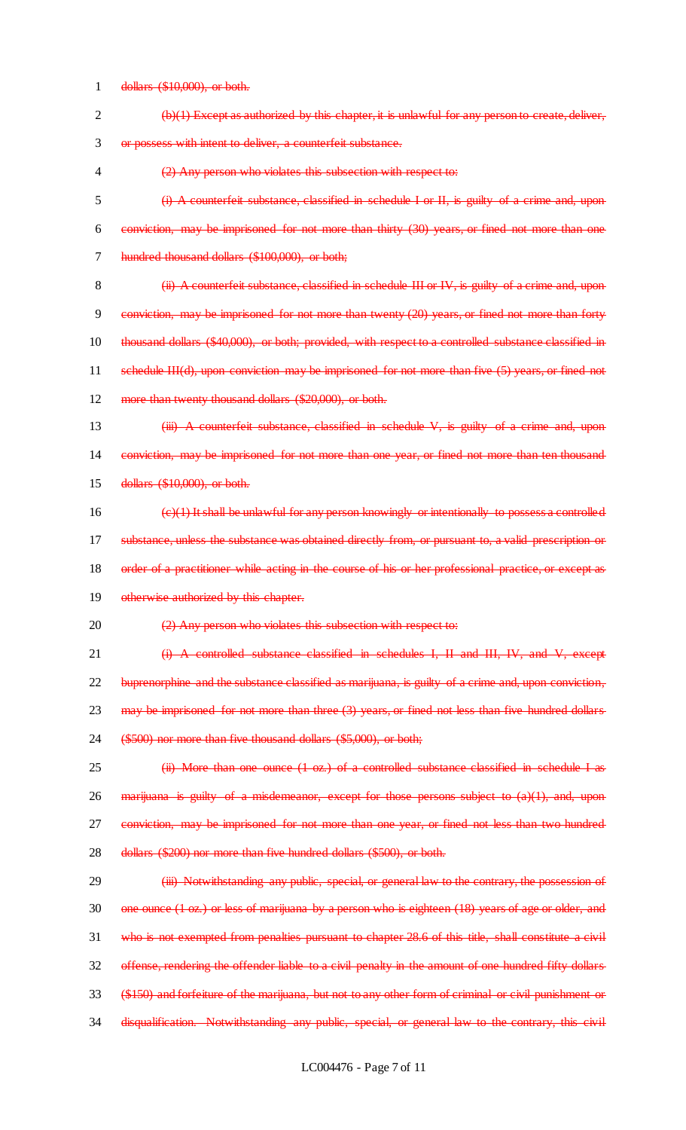dollars (\$10,000), or both.

| $\overline{2}$ | $(b)(1)$ Except as authorized by this chapter, it is unlawful for any person to create, deliver,             |
|----------------|--------------------------------------------------------------------------------------------------------------|
| 3              | or possess with intent to deliver, a counterfeit substance.                                                  |
| 4              | (2) Any person who violates this subsection with respect to:                                                 |
| 5              | (i) A counterfeit substance, classified in schedule I or II, is guilty of a crime and, upon                  |
| 6              | conviction, may be imprisoned for not more than thirty (30) years, or fined not more than one                |
| 7              | hundred thousand dollars (\$100,000), or both;                                                               |
| 8              | (ii) A counterfeit substance, classified in schedule III or IV, is guilty of a crime and, upon               |
| 9              | conviction, may be imprisoned for not more than twenty (20) years, or fined not more than forty              |
| 10             | thousand dollars (\$40,000), or both; provided, with respect to a controlled substance classified in         |
| 11             | schedule III(d), upon conviction may be imprisoned for not more than five (5) years, or fined not            |
| 12             | more than twenty thousand dollars (\$20,000), or both.                                                       |
| 13             | (iii) A counterfeit substance, classified in schedule V, is guilty of a crime and, upon                      |
| 14             | conviction, may be imprisoned for not more than one year, or fined not more than ten thousand                |
| 15             | dollars (\$10,000), or both.                                                                                 |
| 16             | (e)(1) It shall be unlawful for any person knowingly or intentionally to possess a controlled                |
| 17             | substance, unless the substance was obtained directly from, or pursuant to, a valid prescription or          |
| 18             | order of a practitioner while acting in the course of his or her professional practice, or except as         |
| 19             | otherwise authorized by this chapter.                                                                        |
| 20             | (2) Any person who violates this subsection with respect to:                                                 |
| 21             | A controlled substance classified in schedules I, II and III, IV, and V, except                              |
| 22             | buprenorphine and the substance classified as marijuana, is guilty of a crime and, upon conviction,          |
| 23             | $may$ be imprisoned for not more than three $(3)$ years, or fined not less than five hundred dollars         |
| 24             | (\$500) nor more than five thousand dollars (\$5,000), or both;                                              |
| 25             | (ii) More than one ounce (1 oz.) of a controlled substance classified in schedule I as                       |
| 26             | $\frac{1}{2}$ marijuana is guilty of a misdemeanor, except for those persons subject to $(a)(1)$ , and, upon |
| 27             | conviction, may be imprisoned for not more than one year, or fined not less than two hundred                 |
| 28             | dollars (\$200) nor more than five hundred dollars (\$500), or both.                                         |
| 29             | (iii) Notwithstanding any public, special, or general law to the contrary, the possession of                 |
| 30             | one ounce (1 oz.) or less of marijuana by a person who is eighteen (18) years of age or older, and           |
| 31             | who is not exempted from penalties pursuant to chapter 28.6 of this title, shall constitute a civil          |
| 32             | offense, rendering the offender liable to a civil penalty in the amount of one hundred fifty dollars         |
| 33             | (\$150) and forfeiture of the marijuana, but not to any other form of criminal or civil punishment or        |
| 34             | disqualification. Notwithstanding any public, special, or general law to the contrary, this civil            |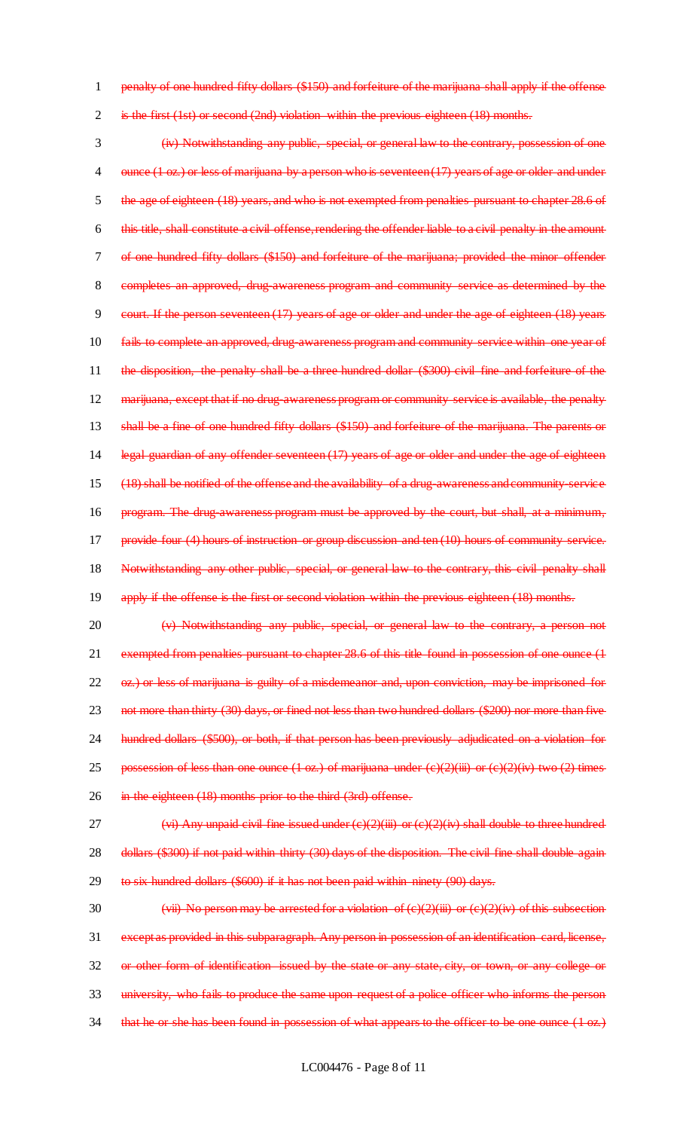1 penalty of one hundred fifty dollars (\$150) and forfeiture of the marijuana shall apply if the offense

2 is the first (1st) or second (2nd) violation within the previous eighteen (18) months.

3 (iv) Notwithstanding any public, special, or general law to the contrary, possession of one 4 ounce (1 oz.) or less of marijuana by a person who is seventeen (17) years of age or older and under 5 the age of eighteen (18) years, and who is not exempted from penalties pursuant to chapter 28.6 of 6 this title, shall constitute a civil offense, rendering the offender liable to a civil penalty in the amount 7 of one hundred fifty dollars (\$150) and forfeiture of the marijuana; provided the minor offender 8 completes an approved, drug-awareness program and community service as determined by the 9 court. If the person seventeen (17) years of age or older and under the age of eighteen (18) years 10 fails to complete an approved, drug-awareness program and community service within one year of 11 the disposition, the penalty shall be a three hundred dollar (\$300) civil fine and forfeiture of the 12 marijuana, except that if no drug-awareness program or community service is available, the penalty 13 shall be a fine of one hundred fifty dollars (\$150) and forfeiture of the marijuana. The parents or 14 legal guardian of any offender seventeen (17) years of age or older and under the age of eighteen 15 (18) shall be notified of the offense and the availability of a drug-awareness and community-service 16 program. The drug awareness program must be approved by the court, but shall, at a minimum, 17 provide four (4) hours of instruction or group discussion and ten (10) hours of community service. 18 Notwithstanding any other public, special, or general law to the contrary, this civil penalty shall 19 apply if the offense is the first or second violation within the previous eighteen (18) months.

- 20 (v) Notwithstanding any public, special, or general law to the contrary, a person not 21 exempted from penalties pursuant to chapter 28.6 of this title found in possession of one ounce (1 22 oz.) or less of marijuana is guilty of a misdemeanor and, upon conviction, may be imprisoned for 23 not more than thirty (30) days, or fined not less than two hundred dollars (\$200) nor more than five 24 hundred dollars (\$500), or both, if that person has been previously adjudicated on a violation for 25 possession of less than one ounce  $(1 \text{ oz.})$  of marijuana under  $(e)(2)(iii)$  or  $(e)(2)(iv)$  two  $(2)$  times 26 in the eighteen (18) months prior to the third (3rd) offense.
- 27  $(vi)$  Any unpaid civil fine issued under  $(e)(2)(iii)$  or  $(e)(2)(iv)$  shall double to three hundred 28 dollars (\$300) if not paid within thirty (30) days of the disposition. The civil fine shall double again-29 to six hundred dollars (\$600) if it has not been paid within ninety (90) days.
- 30 (vii) No person may be arrested for a violation of  $(e)(2)(iii)$  or  $(e)(2)(iv)$  of this subsection 31 except as provided in this subparagraph. Any person in possession of an identification card, license, 32 or other form of identification issued by the state or any state, city, or town, or any college or 33 university, who fails to produce the same upon request of a police officer who informs the person 34 that he or she has been found in possession of what appears to the officer to be one ounce (1 oz.)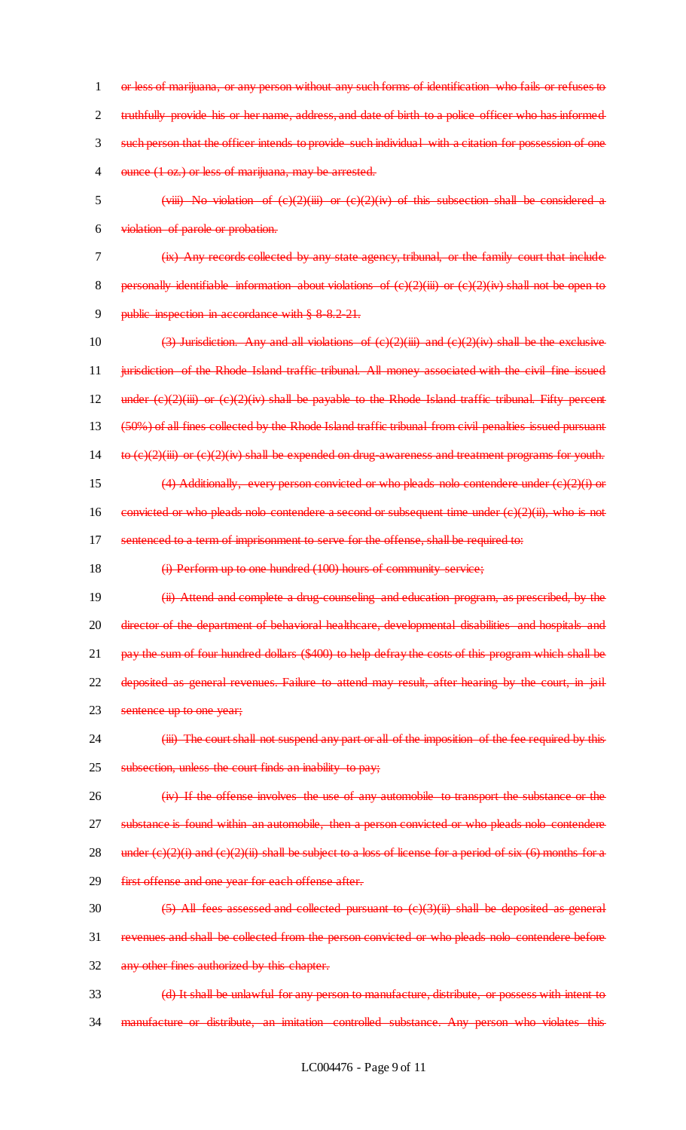or less of marijuana, or any person without any such forms of identification who fails or refuses to truthfully provide his or her name, address, and date of birth to a police officer who has informed such person that the officer intends to provide such individual with a citation for possession of one 4 ounce (1 oz.) or less of marijuana, may be arrested.

- 5 (viii) No violation of (c)(2)(iii) or (c)(2)(iv) of this subsection shall be considered a 6 violation of parole or probation.
- 

7 (ix) Any records collected by any state agency, tribunal, or the family court that include 8 personally identifiable information about violations of  $(c)(2)(iii)$  or  $(c)(2)(iv)$  shall not be open to

9 public inspection in accordance with § 8 8.2-21.

10 (3) Jurisdiction. Any and all violations of  $(c)(2)(iii)$  and  $(c)(2)(iv)$  shall be the exclusive 11 iurisdiction of the Rhode Island traffic tribunal. All money associated with the civil fine issued 12 under  $(e)(2)(iii)$  or  $(e)(2)(iv)$  shall be payable to the Rhode Island traffic tribunal. Fifty percent 13 (50%) of all fines collected by the Rhode Island traffic tribunal from civil penalties issued pursuant 14 to  $(e)(2)(iii)$  or  $(e)(2)(iv)$  shall be expended on drug-awareness and treatment programs for youth. 15 (4) Additionally, every person convicted or who pleads nolo contendere under (c)(2)(i) or 16 convicted or who pleads nolo contendere a second or subsequent time under (c)(2)(ii), who is not 17 sentenced to a term of imprisonment to serve for the offense, shall be required to:

18 (i) Perform up to one hundred (100) hours of community service;

19 (ii) Attend and complete a drug-counseling and education program, as prescribed, by the 20 director of the department of behavioral healthcare, developmental disabilities and hospitals and 21 pay the sum of four hundred dollars (\$400) to help defray the costs of this program which shall be 22 deposited as general revenues. Failure to attend may result, after hearing by the court, in jail 23 sentence up to one year;

24 (iii) The court shall not suspend any part or all of the imposition of the fee required by this 25 subsection, unless the court finds an inability to pay;

26 (iv) If the offense involves the use of any automobile to transport the substance or the 27 substance is found within an automobile, then a person convicted or who pleads nolo contendere 28 under  $(e)(2)(i)$  and  $(e)(2)(ii)$  shall be subject to a loss of license for a period of six (6) months for a 29 first offense and one year for each offense after.

- 30 (5) All fees assessed and collected pursuant to (c)(3)(ii) shall be deposited as general 31 revenues and shall be collected from the person convicted or who pleads nolo contendere before 32 any other fines authorized by this chapter.
- 33 (d) It shall be unlawful for any person to manufacture, distribute, or possess with intent to 34 manufacture or distribute, an imitation controlled substance. Any person who violates this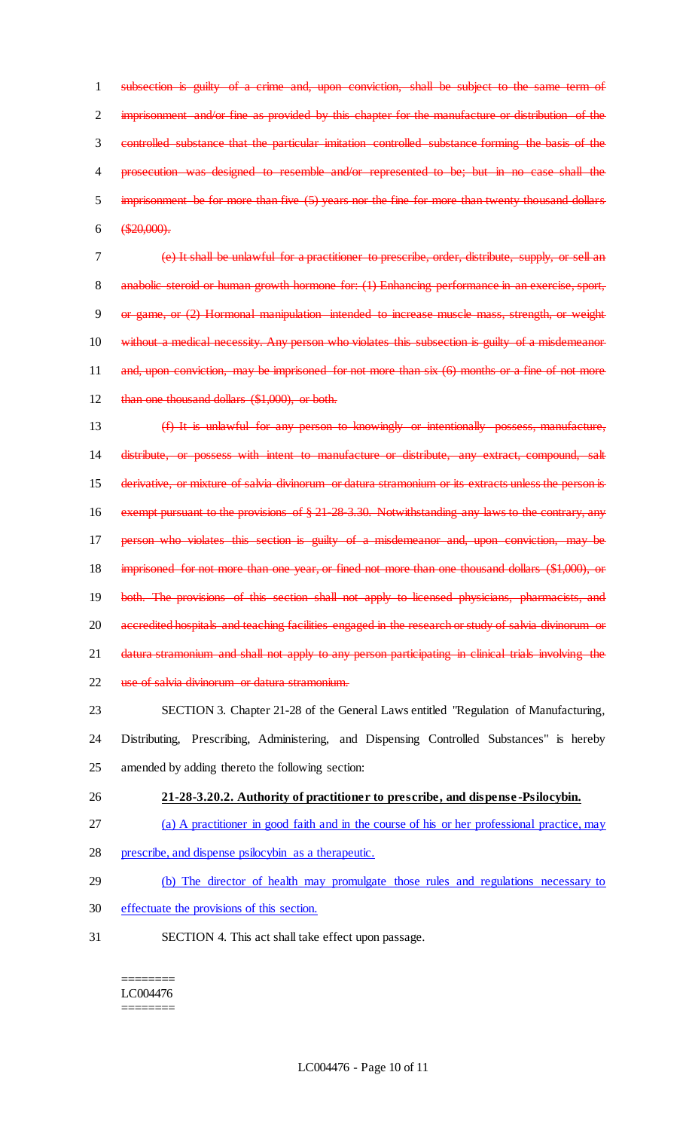subsection is guilty of a crime and, upon conviction, shall be subject to the same term of 2 imprisonment and/or fine as provided by this chapter for the manufacture or distribution of the controlled substance that the particular imitation controlled substance forming the basis of the prosecution was designed to resemble and/or represented to be; but in no case shall the imprisonment be for more than five (5) years nor the fine for more than twenty thousand dollars  $6 \quad \textcircled{420,000}.$ 

7 (e) It shall be unlawful for a practitioner to prescribe, order, distribute, supply, or sell an 8 anabolic steroid or human growth hormone for: (1) Enhancing performance in an exercise, sport, 9 or game, or (2) Hormonal manipulation intended to increase muscle mass, strength, or weight 10 without a medical necessity. Any person who violates this subsection is guilty of a misdemeanor 11 and, upon conviction, may be imprisoned for not more than six (6) months or a fine of not more 12 than one thousand dollars (\$1,000), or both.

13 (f) It is unlawful for any person to knowingly or intentionally possess, manufacture, 14 distribute, or possess with intent to manufacture or distribute, any extract, compound, salt 15 derivative, or mixture of salvia divinorum or datura stramonium or its extracts unless the person is 16 exempt pursuant to the provisions of § 21-28-3.30. Notwithstanding any laws to the contrary, any 17 person who violates this section is guilty of a misdemeanor and, upon conviction, may be 18 imprisoned for not more than one year, or fined not more than one thousand dollars (\$1,000), or 19 both. The provisions of this section shall not apply to licensed physicians, pharmacists, and 20 accredited hospitals and teaching facilities engaged in the research or study of salvia divinorum or 21 datura stramonium and shall not apply to any person participating in clinical trials involving the 22 use of salvia divinorum or datura stramonium.

23 SECTION 3. Chapter 21-28 of the General Laws entitled "Regulation of Manufacturing, 24 Distributing, Prescribing, Administering, and Dispensing Controlled Substances" is hereby 25 amended by adding thereto the following section:

26 **21-28-3.20.2. Authority of practitioner to prescribe, and dispense -Psilocybin.** 

- 27 (a) A practitioner in good faith and in the course of his or her professional practice, may
- 28 prescribe, and dispense psilocybin as a therapeutic.
- 29 (b) The director of health may promulgate those rules and regulations necessary to
- 30 effectuate the provisions of this section.
- 31 SECTION 4. This act shall take effect upon passage.

======== LC004476 ========